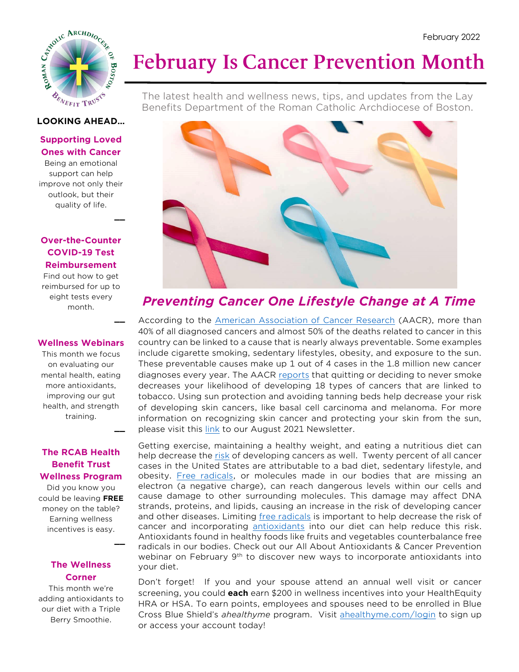

# **February Is Cancer Prevention Month**

The latest health and wellness news, tips, and updates from the Lay Benefits Department of the Roman Catholic Archdiocese of Boston.

#### **LOOKING AHEAD…**

### **Supporting Loved Ones with Cancer**

Being an emotional support can help improve not only their outlook, but their quality of life.

**\_\_**

**\_\_**

**\_\_**

**\_\_**

#### **Over-the-Counter COVID-19 Test Reimbursement**

Find out how to get reimbursed for up to eight tests every month.

#### **Wellness Webinars**

This month we focus on evaluating our mental health, eating more antioxidants, improving our gut health, and strength training.

### **The RCAB Health Benefit Trust Wellness Program**

Did you know you could be leaving **FREE** money on the table? Earning wellness incentives is easy.

#### **The Wellness Corner**

This month we're adding antioxidants to our diet with a Triple Berry Smoothie.



## *Preventing Cancer One Lifestyle Change at A Time*

According to the [American Association of Cancer Research](https://www.aacr.org/patients-caregivers/awareness-months/national-cancer-prevention-month/#:~:text=February%20is%20National%20Cancer%20Prevention%20Month.) (AACR), more than 40% of all diagnosed cancers and almost 50% of the deaths related to cancer in this country can be linked to a cause that is nearly always preventable. Some examples include cigarette smoking, sedentary lifestyles, obesity, and exposure to the sun. These preventable causes make up 1 out of 4 cases in the 1.8 million new cancer diagnoses every year. The AACR [reports](https://www.aacr.org/patients-caregivers/about-cancer/cancer-prevention/) that quitting or deciding to never smoke decreases your likelihood of developing 18 types of cancers that are linked to tobacco. Using sun protection and avoiding tanning beds help decrease your risk of developing skin cancers, like basal cell carcinoma and melanoma. For more information on recognizing skin cancer and protecting your skin from the sun, please visit this [link](http://catholicbenefits.org/PDF/health/wellness/newsletter/aug_2021.pdf) to our August 2021 Newsletter.

Getting exercise, maintaining a healthy weight, and eating a nutritious diet can help decrease the [risk](https://www.aacr.org/patients-caregivers/about-cancer/cancer-prevention/) of developing cancers as well. Twenty percent of all cancer cases in the United States are attributable to a bad diet, sedentary lifestyle, and obesity. [Free radicals,](https://www.merriam-webster.com/dictionary/free%20radical) or molecules made in our bodies that are missing an electron (a negative charge), can reach dangerous levels within our cells and cause damage to other surrounding molecules. This damage may affect DNA strands, proteins, and lipids, causing an increase in the risk of developing cancer and other diseases. Limiting [free radicals](https://www.cancer.gov/publications/dictionaries/cancer-terms/def/free-radical) is important to help decrease the risk of cancer and incorporating [antioxidants](https://www.cancer.gov/about-cancer/causes-prevention/risk/diet/antioxidants-fact-sheet) into our diet can help reduce this risk. Antioxidants found in healthy foods like fruits and vegetables counterbalance free radicals in our bodies. Check out our All About Antioxidants & Cancer Prevention webinar on February 9th to discover new ways to incorporate antioxidants into your diet.

Don't forget! If you and your spouse attend an annual well visit or cancer screening, you could **each** earn \$200 in wellness incentives into your HealthEquity HRA or HSA. To earn points, employees and spouses need to be enrolled in Blue Cross Blue Shield's *ahealthyme* program. Visit [ahealthyme.com/login](https://bluecrossma.ahealthyme.com/dt/v2/bcbsmaindex.asp) to sign up or access your account today!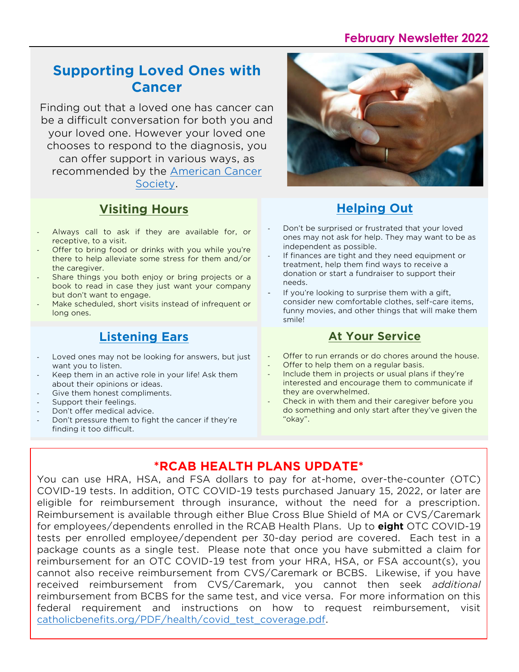## **February Newsletter 2022**

## **Supporting Loved Ones with Cancer**

Finding out that a loved one has cancer can be a difficult conversation for both you and your loved one. However your loved one chooses to respond to the diagnosis, you can offer support in various ways, as recommended by the [American Cancer](https://www.cancer.org/treatment/caregivers/how-to-be-a-friend-to-someone-with-cancer.html)  [Society.](https://www.cancer.org/treatment/caregivers/how-to-be-a-friend-to-someone-with-cancer.html)

## **Visiting Hours**

- Always call to ask if they are available for, or receptive, to a visit.
- Offer to bring food or drinks with you while you're there to help alleviate some stress for them and/or the caregiver.
- Share things you both enjoy or bring projects or a book to read in case they just want your company but don't want to engage.
- Make scheduled, short visits instead of infrequent or long ones.

## **Listening Ears**

- Loved ones may not be looking for answers, but just want you to listen.
- Keep them in an active role in your life! Ask them about their opinions or ideas.
- Give them honest compliments.
- Support their feelings.
- Don't offer medical advice.
- Don't pressure them to fight the cancer if they're finding it too difficult.



## **Helping Out**

- Don't be surprised or frustrated that your loved ones may not ask for help. They may want to be as independent as possible.
- If finances are tight and they need equipment or treatment, help them find ways to receive a donation or start a fundraiser to support their needs.
- If you're looking to surprise them with a gift, consider new comfortable clothes, self-care items, funny movies, and other things that will make them smile!

### **At Your Service**

- Offer to run errands or do chores around the house.
- Offer to help them on a regular basis.
- Include them in projects or usual plans if they're interested and encourage them to communicate if they are overwhelmed.
- Check in with them and their caregiver before you do something and only start after they've given the "okay".

## **\*RCAB HEALTH PLANS UPDATE\***

You can use HRA, HSA, and FSA dollars to pay for at-home, over-the-counter (OTC) COVID-19 tests. In addition, OTC COVID-19 tests purchased January 15, 2022, or later are eligible for reimbursement through insurance, without the need for a prescription. Reimbursement is available through either Blue Cross Blue Shield of MA or CVS/Caremark for employees/dependents enrolled in the RCAB Health Plans. Up to **eight** OTC COVID-19 tests per enrolled employee/dependent per 30-day period are covered. Each test in a package counts as a single test. Please note that once you have submitted a claim for reimbursement for an OTC COVID-19 test from your HRA, HSA, or FSA account(s), you cannot also receive reimbursement from CVS/Caremark or BCBS. Likewise, if you have received reimbursement from CVS/Caremark, you cannot then seek *additional* reimbursement from BCBS for the same test, and vice versa. For more information on this federal requirement and instructions on how to request reimbursement, visit [catholicbenefits.org/PDF/health/covid\\_test\\_coverage.pdf.](http://www.catholicbenefits.org/PDF/health/covid_test_coverage.pdf)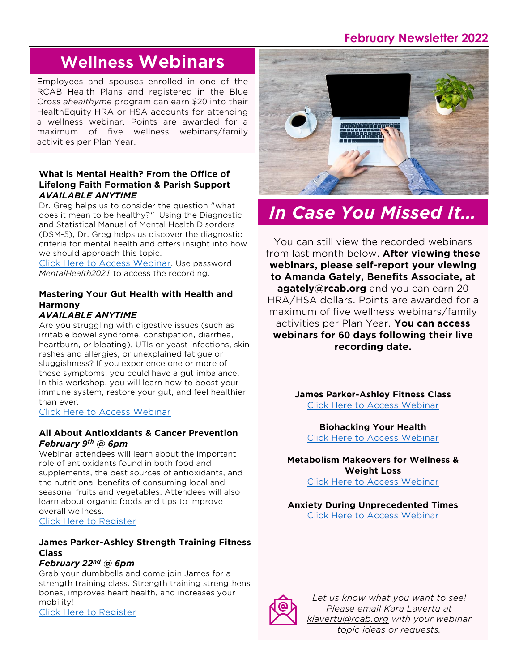## **February Newsletter 2022**

# **Wellness Webinars**

Employees and spouses enrolled in one of the RCAB Health Plans and registered in the Blue Cross *ahealthyme* program can earn \$20 into their HealthEquity HRA or HSA accounts for attending a wellness webinar. Points are awarded for a maximum of five wellness webinars/family activities per Plan Year.

#### **What is Mental Health? From the Office of Lifelong Faith Formation & Parish Support** *AVAILABLE ANYTIME*

Dr. Greg helps us to consider the question "what does it mean to be healthy?" Using the Diagnostic and Statistical Manual of Mental Health Disorders (DSM-5), Dr. Greg helps us discover the diagnostic criteria for mental health and offers insight into how we should approach this topic.

[Click Here to Access Webinar](https://vimeo.com/611828669). Use password *MentalHealth2021* to access the recording.

## **Mastering Your Gut Health with Health and Harmony**

### *AVAILABLE ANYTIME*

Are you struggling with digestive issues (such as irritable bowel syndrome, constipation, diarrhea, heartburn, or bloating), UTIs or yeast infections, skin rashes and allergies, or unexplained fatigue or sluggishness? If you experience one or more of these symptoms, you could have a gut imbalance. In this workshop, you will learn how to boost your immune system, restore your gut, and feel healthier than ever.

[Click Here to Access Webinar](https://attendee.gotowebinar.com/recording/5459577020275277327)

#### **All About Antioxidants & Cancer Prevention** *February 9th @ 6pm*

Webinar attendees will learn about the important role of antioxidants found in both food and supplements, the best sources of antioxidants, and the nutritional benefits of consuming local and seasonal fruits and vegetables. Attendees will also learn about organic foods and tips to improve overall wellness.

[Click Here to Register](https://t.sidekickopen87.com/s3t/c/5/f18dQhb0S7kF8cp337VTx3fL59hl3kW7_k2841CX2c7W3KmB3K2R1QTJMVmJZLbtf9g102?te=W3R5hFj4cm2zwW4hLTKz4mBct4W4tB1VL1JH0QfW4mBcv941PGrNW49KvpZ4cQgTgW1Lq0S11XfTw2W2zLD-k2-GQtCW2w374t4txVsR35Lz2&si=8000000000349507&pi=dc246f8a-46b7-476d-a938-c788ceeff92c)

#### **James Parker-Ashley Strength Training Fitness Class**

#### *February 22nd @ 6pm*

Grab your dumbbells and come join James for a strength training class. Strength training strengthens bones, improves heart health, and increases your mobility!

[Click Here to Register](https://attendee.gotowebinar.com/register/692299121110984459)



# *In Case You Missed It…*

You can still view the recorded webinars from last month below. **After viewing these webinars, please self-report your viewing to Amanda Gately, Benefits Associate, at [agately@rcab.org](mailto:agately@rcab.org)** and you can earn 20 HRA/HSA dollars. Points are awarded for a maximum of five wellness webinars/family activities per Plan Year. **You can access webinars for 60 days following their live recording date.**

> **James Parker-Ashley Fitness Class** [Click Here to Access](https://attendee.gotowebinar.com/recording/8978056016131812611) Webinar

**Biohacking Your Health** [Click Here to Access](https://attendee.gotowebinar.com/recording/5898750553240025346) Webinar

**Metabolism Makeovers for Wellness & Weight Loss**

[Click Here to Access Webinar](https://us02web.zoom.us/rec/share/Qd2IRq42ZqbBbvIwVdWdwqIC1SLisIzWX_uW9NQMlD1PH0YVUCr1YcMB69k-zha7.8p24CecgrIY4Sh1A?startTime=1642025909000)

**Anxiety During Unprecedented Times** [Click Here to Access Webinar](https://us02web.zoom.us/rec/share/76a1utWNQue98aG3_9yShbLR6MWDPibvxxwrTh8M03uW_zdi44m4xF4hNdAd_W4.BwV4_UTEvPTkXkth?startTime=1643152174000)



*Let us know what you want to see! Please email Kara Lavertu at [klavertu@rcab.org](mailto:klavertu@rcab.org) with your webinar topic ideas or requests.*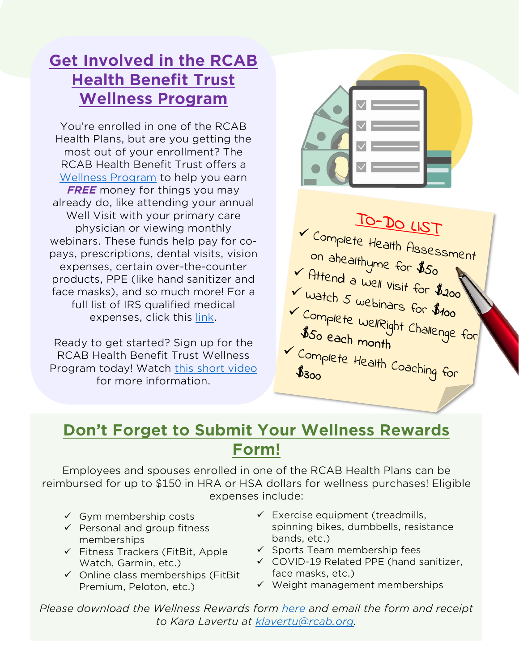## **Get Involved in the RCAB Health Benefit Trust Wellness Program**

You're enrolled in one of the RCAB Health Plans, but are you getting the most out of your enrollment? The RCAB Health Benefit Trust offers a [Wellness Program](http://catholicbenefits.org/PDF/2021/oe/wellness.pdf) to help you earn *FREE* money for things you may already do, like attending your annual Well Visit with your primary care physician or viewing monthly webinars. These funds help pay for copays, prescriptions, dental visits, vision expenses, certain over-the-counter products, PPE (like hand sanitizer and face masks), and so much more! For a full list of IRS qualified medical expenses, click this [link.](http://catholicbenefits.org/PDF/2021/health/irs_qual_exp.pdf)

Ready to get started? Sign up for the RCAB Health Benefit Trust Wellness Program today! Watch [this short video](https://attendee.gotowebinar.com/recording/6520090079281328641) for more information.



TO-DO LIST V Complete Health Assessment on ahealthyme for \$50<br>On ahealthyme for \$50<br>Attend a well visit for # V Attend a well visit for \$200 V watch 5 webinars for \$200<br>V Complete www. V Complete WellRight Challenge for \$50 each month V Complete Health Coaching for

## **Don't Forget to Submit Your Wellness Rewards Form!**

Employees and spouses enrolled in one of the RCAB Health Plans can be reimbursed for up to \$150 in HRA or HSA dollars for wellness purchases! Eligible expenses include:

- $\checkmark$  Gym membership costs
- ✓ Personal and group fitness memberships
- ✓ Fitness Trackers (FitBit, Apple Watch, Garmin, etc.)
- $\checkmark$  Online class memberships (FitBit Premium, Peloton, etc.)
- $\checkmark$  Exercise equipment (treadmills, spinning bikes, dumbbells, resistance bands, etc.)
- ✓ Sports Team membership fees
- ✓ COVID-19 Related PPE (hand sanitizer, face masks, etc.)
- ✓ Weight management memberships

*Please download the Wellness Rewards form [here](http://catholicbenefits.org/health/wellnessrewards.pdf) and email the form and receipt to Kara Lavertu at [klavertu@rcab.org.](mailto:klavertu@rcab.org)*